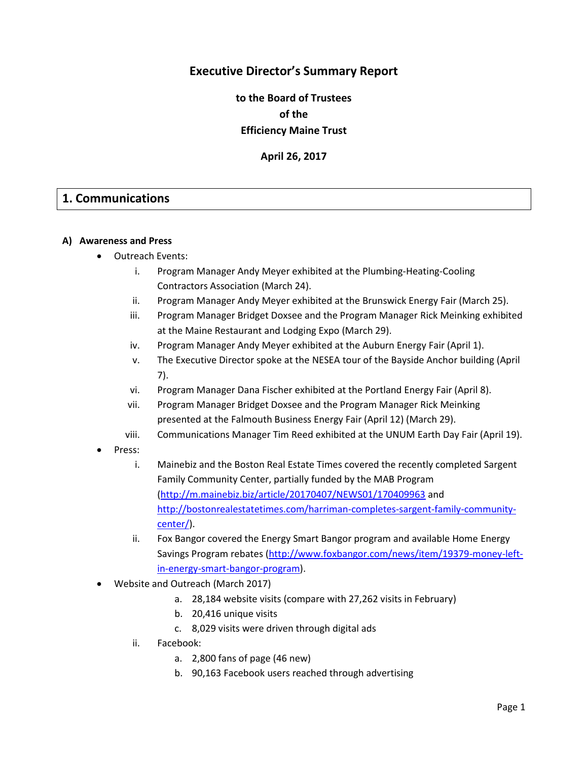# **Executive Director's Summary Report**

**to the Board of Trustees of the Efficiency Maine Trust**

**April 26, 2017**

## **1. Communications**

#### **A) Awareness and Press**

- Outreach Events:
	- i. Program Manager Andy Meyer exhibited at the Plumbing-Heating-Cooling Contractors Association (March 24).
	- ii. Program Manager Andy Meyer exhibited at the Brunswick Energy Fair (March 25).
	- iii. Program Manager Bridget Doxsee and the Program Manager Rick Meinking exhibited at the Maine Restaurant and Lodging Expo (March 29).
	- iv. Program Manager Andy Meyer exhibited at the Auburn Energy Fair (April 1).
	- v. The Executive Director spoke at the NESEA tour of the Bayside Anchor building (April 7).
	- vi. Program Manager Dana Fischer exhibited at the Portland Energy Fair (April 8).
	- vii. Program Manager Bridget Doxsee and the Program Manager Rick Meinking presented at the Falmouth Business Energy Fair (April 12) (March 29).
	- viii. Communications Manager Tim Reed exhibited at the UNUM Earth Day Fair (April 19).
- Press:
	- i. Mainebiz and the Boston Real Estate Times covered the recently completed Sargent Family Community Center, partially funded by the MAB Program [\(http://m.mainebiz.biz/article/20170407/NEWS01/170409963](http://m.mainebiz.biz/article/20170407/NEWS01/170409963) and [http://bostonrealestatetimes.com/harriman-completes-sargent-family-community](http://bostonrealestatetimes.com/harriman-completes-sargent-family-community-center/)[center/\)](http://bostonrealestatetimes.com/harriman-completes-sargent-family-community-center/).
	- ii. Fox Bangor covered the Energy Smart Bangor program and available Home Energy Savings Program rebates [\(http://www.foxbangor.com/news/item/19379-money-left](http://www.foxbangor.com/news/item/19379-money-left-in-energy-smart-bangor-program)[in-energy-smart-bangor-program\)](http://www.foxbangor.com/news/item/19379-money-left-in-energy-smart-bangor-program).
- Website and Outreach (March 2017)
	- a. 28,184 website visits (compare with 27,262 visits in February)
	- b. 20,416 unique visits
	- c. 8,029 visits were driven through digital ads
	- ii. Facebook:
		- a. 2,800 fans of page (46 new)
		- b. 90,163 Facebook users reached through advertising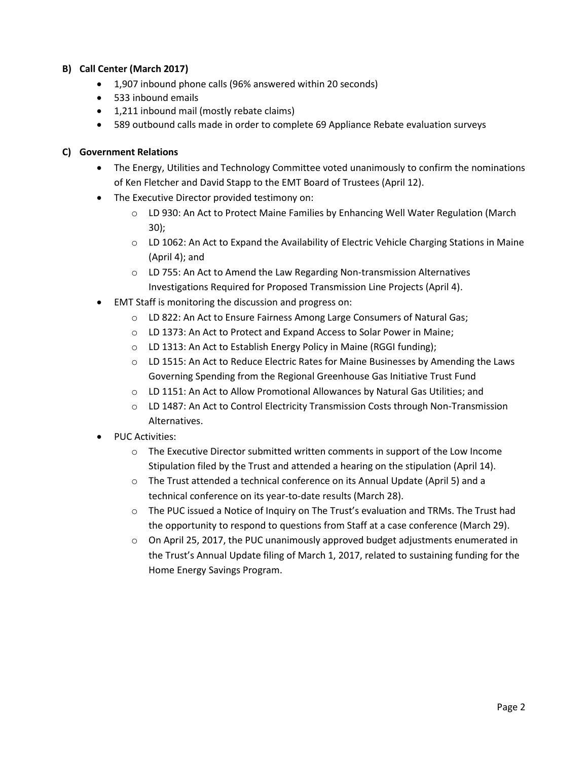## **B) Call Center (March 2017)**

- 1,907 inbound phone calls (96% answered within 20 seconds)
- 533 inbound emails
- 1,211 inbound mail (mostly rebate claims)
- 589 outbound calls made in order to complete 69 Appliance Rebate evaluation surveys

#### **C) Government Relations**

- The Energy, Utilities and Technology Committee voted unanimously to confirm the nominations of Ken Fletcher and David Stapp to the EMT Board of Trustees (April 12).
- The Executive Director provided testimony on:
	- o LD 930: An Act to Protect Maine Families by Enhancing Well Water Regulation (March 30);
	- o LD 1062: An Act to Expand the Availability of Electric Vehicle Charging Stations in Maine (April 4); and
	- $\circ$  LD 755: An Act to Amend the Law Regarding Non-transmission Alternatives Investigations Required for Proposed Transmission Line Projects (April 4).
- EMT Staff is monitoring the discussion and progress on:
	- o LD 822: An Act to Ensure Fairness Among Large Consumers of Natural Gas;
	- o LD 1373: An Act to Protect and Expand Access to Solar Power in Maine;
	- o LD 1313: An Act to Establish Energy Policy in Maine (RGGI funding);
	- o LD 1515: An Act to Reduce Electric Rates for Maine Businesses by Amending the Laws Governing Spending from the Regional Greenhouse Gas Initiative Trust Fund
	- o LD 1151: An Act to Allow Promotional Allowances by Natural Gas Utilities; and
	- o LD 1487: An Act to Control Electricity Transmission Costs through Non-Transmission Alternatives.
- PUC Activities:
	- $\circ$  The Executive Director submitted written comments in support of the Low Income Stipulation filed by the Trust and attended a hearing on the stipulation (April 14).
	- o The Trust attended a technical conference on its Annual Update (April 5) and a technical conference on its year-to-date results (March 28).
	- o The PUC issued a Notice of Inquiry on The Trust's evaluation and TRMs. The Trust had the opportunity to respond to questions from Staff at a case conference (March 29).
	- $\circ$  On April 25, 2017, the PUC unanimously approved budget adjustments enumerated in the Trust's Annual Update filing of March 1, 2017, related to sustaining funding for the Home Energy Savings Program.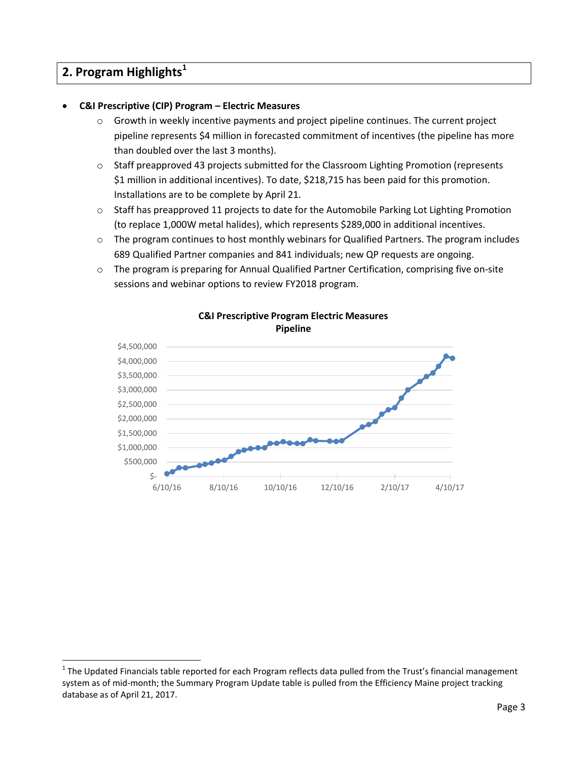# **2. Program Highlights<sup>1</sup>**

 $\ddot{\phantom{a}}$ 

## **C&I Prescriptive (CIP) Program – Electric Measures**

- $\circ$  Growth in weekly incentive payments and project pipeline continues. The current project pipeline represents \$4 million in forecasted commitment of incentives (the pipeline has more than doubled over the last 3 months).
- o Staff preapproved 43 projects submitted for the Classroom Lighting Promotion (represents \$1 million in additional incentives). To date, \$218,715 has been paid for this promotion. Installations are to be complete by April 21.
- o Staff has preapproved 11 projects to date for the Automobile Parking Lot Lighting Promotion (to replace 1,000W metal halides), which represents \$289,000 in additional incentives.
- o The program continues to host monthly webinars for Qualified Partners. The program includes 689 Qualified Partner companies and 841 individuals; new QP requests are ongoing.
- o The program is preparing for Annual Qualified Partner Certification, comprising five on-site sessions and webinar options to review FY2018 program.



#### **C&I Prescriptive Program Electric Measures Pipeline**

 $1$  The Updated Financials table reported for each Program reflects data pulled from the Trust's financial management system as of mid-month; the Summary Program Update table is pulled from the Efficiency Maine project tracking database as of April 21, 2017.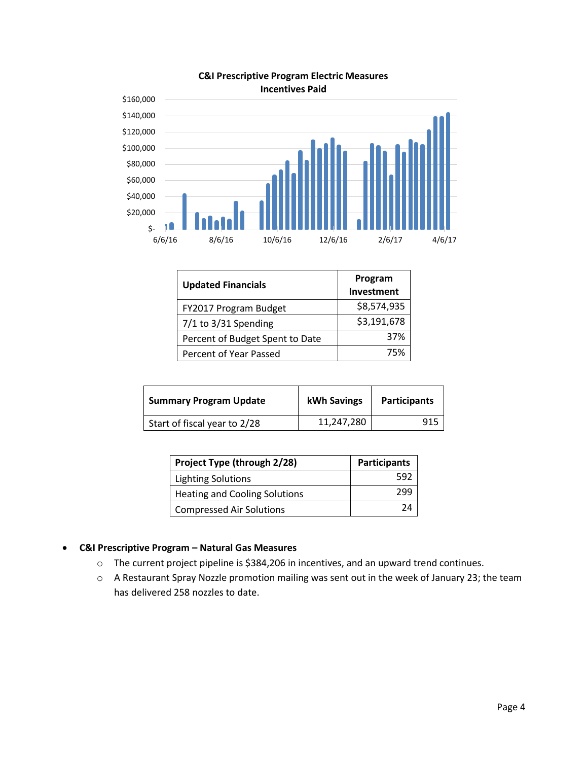

#### **C&I Prescriptive Program Electric Measures Incentives Paid**

| <b>Updated Financials</b>       | Program<br>Investment |
|---------------------------------|-----------------------|
| FY2017 Program Budget           | \$8,574,935           |
| $7/1$ to $3/31$ Spending        | \$3,191,678           |
| Percent of Budget Spent to Date | 37%                   |
| Percent of Year Passed          | 75%                   |

| <b>Summary Program Update</b> | kWh Savings | <b>Participants</b> |
|-------------------------------|-------------|---------------------|
| Start of fiscal year to 2/28  | 11,247,280  | 915                 |

| Project Type (through 2/28)          | <b>Participants</b> |
|--------------------------------------|---------------------|
| <b>Lighting Solutions</b>            | 592                 |
| <b>Heating and Cooling Solutions</b> | 299                 |
| <b>Compressed Air Solutions</b>      | 24                  |

## **C&I Prescriptive Program – Natural Gas Measures**

- o The current project pipeline is \$384,206 in incentives, and an upward trend continues.
- o A Restaurant Spray Nozzle promotion mailing was sent out in the week of January 23; the team has delivered 258 nozzles to date.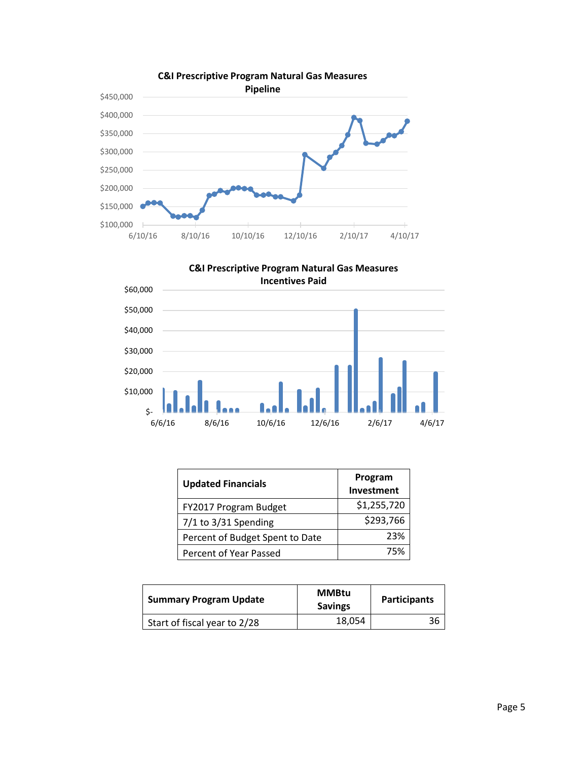





| <b>Updated Financials</b>       | Program<br>Investment |
|---------------------------------|-----------------------|
| FY2017 Program Budget           | \$1,255,720           |
| $7/1$ to $3/31$ Spending        | \$293,766             |
| Percent of Budget Spent to Date | 23%                   |
| Percent of Year Passed          | 75%                   |

| <b>Summary Program Update</b> | <b>MMBtu</b><br><b>Savings</b> | <b>Participants</b> |
|-------------------------------|--------------------------------|---------------------|
| Start of fiscal year to 2/28  | 18,054                         | 36                  |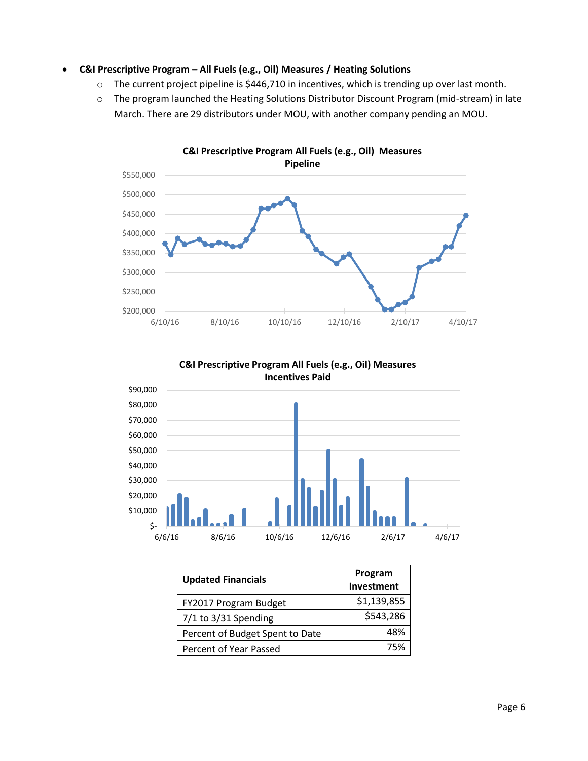#### **C&I Prescriptive Program – All Fuels (e.g., Oil) Measures / Heating Solutions**

- o The current project pipeline is \$446,710 in incentives, which is trending up over last month.
- o The program launched the Heating Solutions Distributor Discount Program (mid-stream) in late March. There are 29 distributors under MOU, with another company pending an MOU.





**C&I Prescriptive Program All Fuels (e.g., Oil) Measures** 

| <b>Updated Financials</b>       | Program<br><b>Investment</b> |
|---------------------------------|------------------------------|
| FY2017 Program Budget           | \$1,139,855                  |
| $7/1$ to 3/31 Spending          | \$543,286                    |
| Percent of Budget Spent to Date | 48%                          |
| Percent of Year Passed          | 75%                          |

6/6/16 8/6/16 10/6/16 12/6/16 2/6/17 4/6/17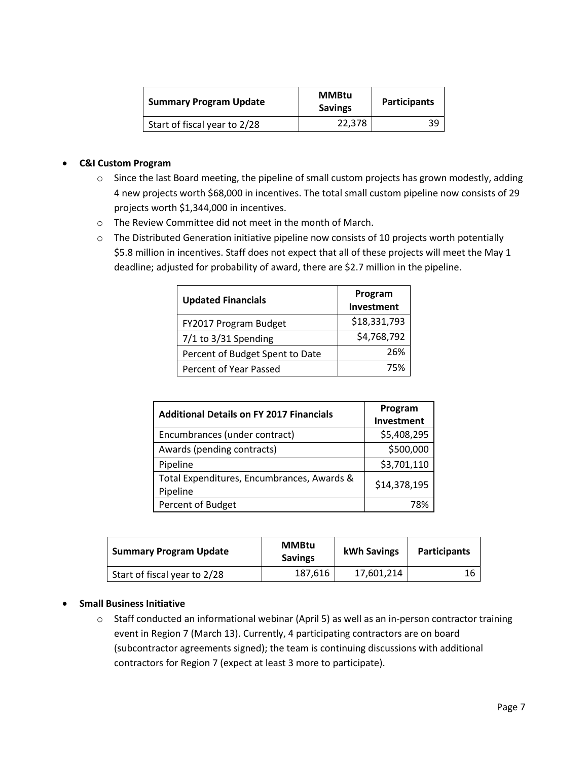| <b>Summary Program Update</b> | <b>MMBtu</b><br><b>Savings</b> | <b>Participants</b> |
|-------------------------------|--------------------------------|---------------------|
| Start of fiscal year to 2/28  | 22,378                         | 39                  |

#### **C&I Custom Program**

- o Since the last Board meeting, the pipeline of small custom projects has grown modestly, adding 4 new projects worth \$68,000 in incentives. The total small custom pipeline now consists of 29 projects worth \$1,344,000 in incentives.
- o The Review Committee did not meet in the month of March.
- o The Distributed Generation initiative pipeline now consists of 10 projects worth potentially \$5.8 million in incentives. Staff does not expect that all of these projects will meet the May 1 deadline; adjusted for probability of award, there are \$2.7 million in the pipeline.

| <b>Updated Financials</b>       | Program<br>Investment |
|---------------------------------|-----------------------|
| FY2017 Program Budget           | \$18,331,793          |
| 7/1 to 3/31 Spending            | \$4,768,792           |
| Percent of Budget Spent to Date | 26%                   |
| Percent of Year Passed          | 75%                   |

| <b>Additional Details on FY 2017 Financials</b>        | Program<br>Investment |
|--------------------------------------------------------|-----------------------|
| Encumbrances (under contract)                          | \$5,408,295           |
| Awards (pending contracts)                             | \$500,000             |
| Pipeline                                               | \$3,701,110           |
| Total Expenditures, Encumbrances, Awards &<br>Pipeline | \$14,378,195          |
| Percent of Budget                                      | 78%                   |

| <b>Summary Program Update</b> | <b>MMBtu</b><br><b>Savings</b> | kWh Savings | <b>Participants</b> |
|-------------------------------|--------------------------------|-------------|---------------------|
| Start of fiscal year to 2/28  | 187,616                        | 17.601.214  | 16                  |

#### **•** Small Business Initiative

o Staff conducted an informational webinar (April 5) as well as an in-person contractor training event in Region 7 (March 13). Currently, 4 participating contractors are on board (subcontractor agreements signed); the team is continuing discussions with additional contractors for Region 7 (expect at least 3 more to participate).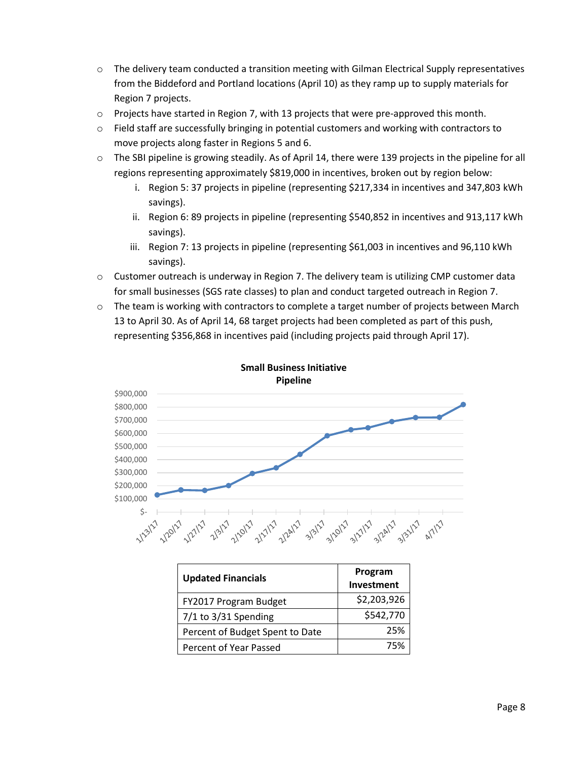- o The delivery team conducted a transition meeting with Gilman Electrical Supply representatives from the Biddeford and Portland locations (April 10) as they ramp up to supply materials for Region 7 projects.
- o Projects have started in Region 7, with 13 projects that were pre-approved this month.
- $\circ$  Field staff are successfully bringing in potential customers and working with contractors to move projects along faster in Regions 5 and 6.
- o The SBI pipeline is growing steadily. As of April 14, there were 139 projects in the pipeline for all regions representing approximately \$819,000 in incentives, broken out by region below:
	- i. Region 5: 37 projects in pipeline (representing \$217,334 in incentives and 347,803 kWh savings).
	- ii. Region 6: 89 projects in pipeline (representing \$540,852 in incentives and 913,117 kWh savings).
	- iii. Region 7: 13 projects in pipeline (representing \$61,003 in incentives and 96,110 kWh savings).
- o Customer outreach is underway in Region 7. The delivery team is utilizing CMP customer data for small businesses (SGS rate classes) to plan and conduct targeted outreach in Region 7.
- o The team is working with contractors to complete a target number of projects between March 13 to April 30. As of April 14, 68 target projects had been completed as part of this push, representing \$356,868 in incentives paid (including projects paid through April 17).



| Small Business Initiative |  |
|---------------------------|--|
| <b>Pipeline</b>           |  |

| <b>Updated Financials</b>       | Program<br>Investment |
|---------------------------------|-----------------------|
| FY2017 Program Budget           | \$2,203,926           |
| $7/1$ to $3/31$ Spending        | \$542,770             |
| Percent of Budget Spent to Date | 25%                   |
| Percent of Year Passed          | 75%                   |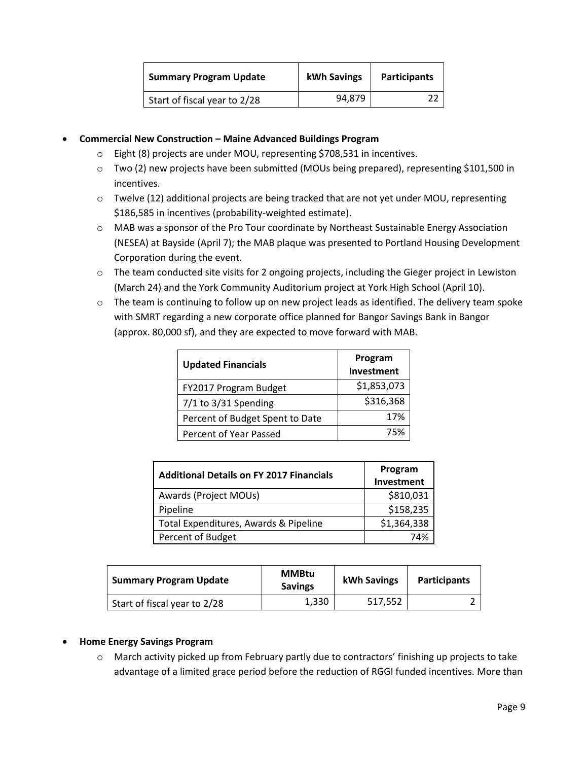| <b>Summary Program Update</b> | kWh Savings | <b>Participants</b> |
|-------------------------------|-------------|---------------------|
| Start of fiscal year to 2/28  | 94,879      |                     |

### **Commercial New Construction – Maine Advanced Buildings Program**

- o Eight (8) projects are under MOU, representing \$708,531 in incentives.
- o Two (2) new projects have been submitted (MOUs being prepared), representing \$101,500 in incentives.
- o Twelve (12) additional projects are being tracked that are not yet under MOU, representing \$186,585 in incentives (probability-weighted estimate).
- o MAB was a sponsor of the Pro Tour coordinate by Northeast Sustainable Energy Association (NESEA) at Bayside (April 7); the MAB plaque was presented to Portland Housing Development Corporation during the event.
- o The team conducted site visits for 2 ongoing projects, including the Gieger project in Lewiston (March 24) and the York Community Auditorium project at York High School (April 10).
- o The team is continuing to follow up on new project leads as identified. The delivery team spoke with SMRT regarding a new corporate office planned for Bangor Savings Bank in Bangor (approx. 80,000 sf), and they are expected to move forward with MAB.

| <b>Updated Financials</b>       | Program<br>Investment |
|---------------------------------|-----------------------|
| FY2017 Program Budget           | \$1,853,073           |
| $7/1$ to $3/31$ Spending        | \$316,368             |
| Percent of Budget Spent to Date | 17%                   |
| Percent of Year Passed          | 75%                   |

| <b>Additional Details on FY 2017 Financials</b> | Program<br>Investment |
|-------------------------------------------------|-----------------------|
| Awards (Project MOUs)                           | \$810,031             |
| Pipeline                                        | \$158,235             |
| Total Expenditures, Awards & Pipeline           | \$1,364,338           |
| Percent of Budget                               | 74%                   |

| <b>Summary Program Update</b> | <b>MMBtu</b><br><b>Savings</b> | <b>kWh Savings</b> | <b>Participants</b> |
|-------------------------------|--------------------------------|--------------------|---------------------|
| Start of fiscal year to 2/28  | 1,330                          | 517,552            |                     |

#### **Home Energy Savings Program**

o March activity picked up from February partly due to contractors' finishing up projects to take advantage of a limited grace period before the reduction of RGGI funded incentives. More than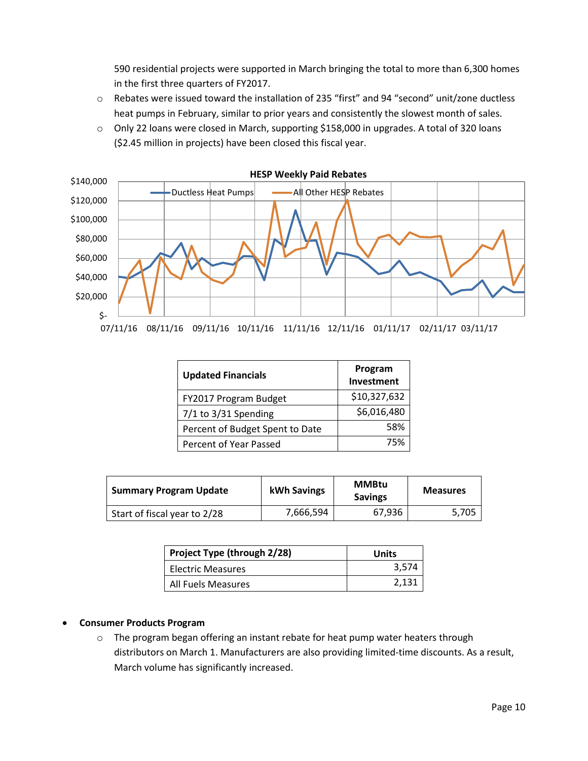590 residential projects were supported in March bringing the total to more than 6,300 homes in the first three quarters of FY2017.

- o Rebates were issued toward the installation of 235 "first" and 94 "second" unit/zone ductless heat pumps in February, similar to prior years and consistently the slowest month of sales.
- o Only 22 loans were closed in March, supporting \$158,000 in upgrades. A total of 320 loans (\$2.45 million in projects) have been closed this fiscal year.



| <b>Updated Financials</b>       | Program<br>Investment |  |
|---------------------------------|-----------------------|--|
| FY2017 Program Budget           | \$10,327,632          |  |
| $7/1$ to $3/31$ Spending        | \$6,016,480           |  |
| Percent of Budget Spent to Date | 58%                   |  |
| Percent of Year Passed          | 75%                   |  |

| <b>Summary Program Update</b> | kWh Savings | <b>MMBtu</b><br><b>Savings</b> | <b>Measures</b> |
|-------------------------------|-------------|--------------------------------|-----------------|
| Start of fiscal year to 2/28  | 7,666,594   | 67,936                         | 5.705           |

| Project Type (through 2/28) | Units |
|-----------------------------|-------|
| Electric Measures           | 3,574 |
| All Fuels Measures          | 2,131 |

#### **Consumer Products Program**

o The program began offering an instant rebate for heat pump water heaters through distributors on March 1. Manufacturers are also providing limited-time discounts. As a result, March volume has significantly increased.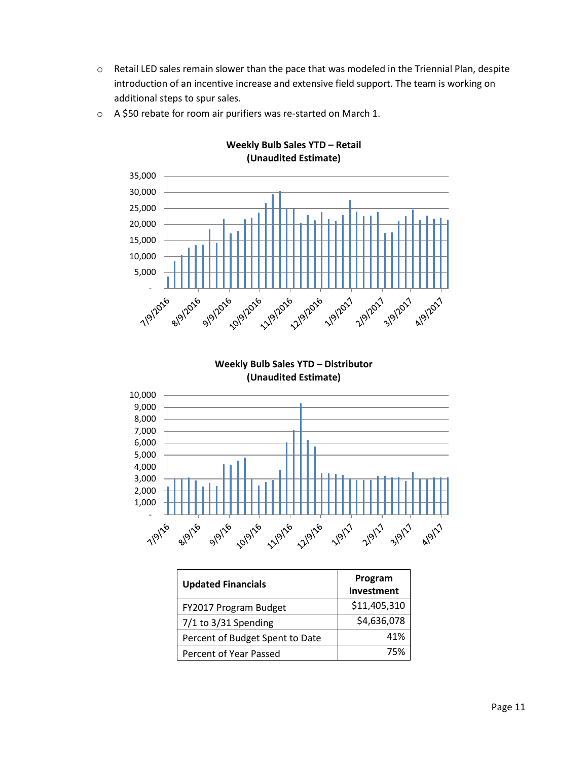o Retail LED sales remain slower than the pace that was modeled in the Triennial Plan, despite introduction of an incentive increase and extensive field support. The team is working on additional steps to spur sales.

**Weekly Bulb Sales YTD – Retail**



o A \$50 rebate for room air purifiers was re-started on March 1.

**Weekly Bulb Sales YTD – Distributor (Unaudited Estimate)**



| <b>Updated Financials</b>       | Program<br>Investment |
|---------------------------------|-----------------------|
| FY2017 Program Budget           | \$11,405,310          |
| $7/1$ to 3/31 Spending          | \$4,636,078           |
| Percent of Budget Spent to Date | 41%                   |
| Percent of Year Passed          | 75%                   |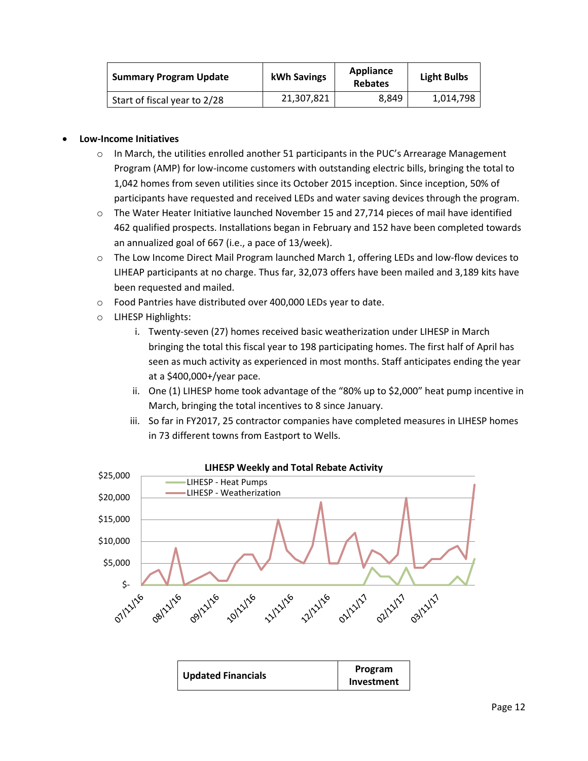| <b>Summary Program Update</b> | kWh Savings | Appliance<br><b>Rebates</b> | <b>Light Bulbs</b> |
|-------------------------------|-------------|-----------------------------|--------------------|
| Start of fiscal year to 2/28  | 21,307,821  | 8.849                       | 1,014,798          |

#### **Low-Income Initiatives**

- $\circ$  In March, the utilities enrolled another 51 participants in the PUC's Arrearage Management Program (AMP) for low-income customers with outstanding electric bills, bringing the total to 1,042 homes from seven utilities since its October 2015 inception. Since inception, 50% of participants have requested and received LEDs and water saving devices through the program.
- $\circ$  The Water Heater Initiative launched November 15 and 27,714 pieces of mail have identified 462 qualified prospects. Installations began in February and 152 have been completed towards an annualized goal of 667 (i.e., a pace of 13/week).
- o The Low Income Direct Mail Program launched March 1, offering LEDs and low-flow devices to LIHEAP participants at no charge. Thus far, 32,073 offers have been mailed and 3,189 kits have been requested and mailed.
- o Food Pantries have distributed over 400,000 LEDs year to date.
- o LIHESP Highlights:
	- i. Twenty-seven (27) homes received basic weatherization under LIHESP in March bringing the total this fiscal year to 198 participating homes. The first half of April has seen as much activity as experienced in most months. Staff anticipates ending the year at a \$400,000+/year pace.
	- ii. One (1) LIHESP home took advantage of the "80% up to \$2,000" heat pump incentive in March, bringing the total incentives to 8 since January.
	- iii. So far in FY2017, 25 contractor companies have completed measures in LIHESP homes in 73 different towns from Eastport to Wells.



#### **LIHESP Weekly and Total Rebate Activity**

| <b>Updated Financials</b> | Program    |
|---------------------------|------------|
|                           | Investment |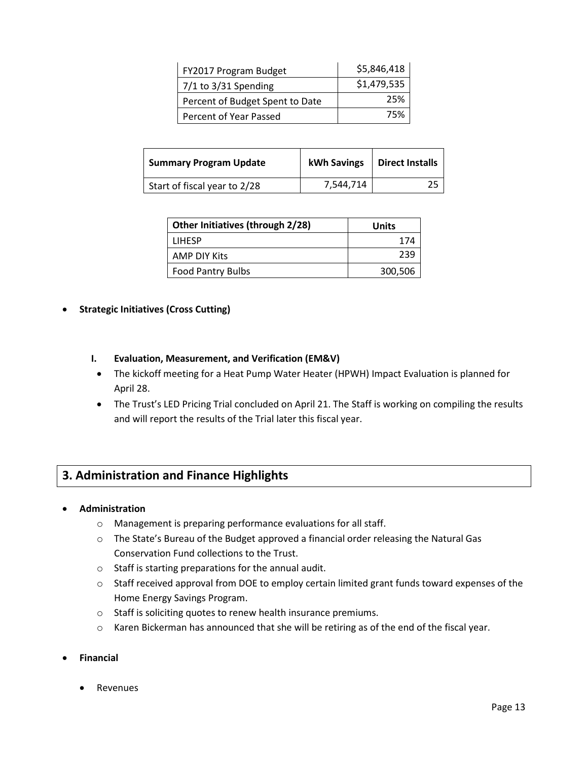| FY2017 Program Budget           | \$5,846,418 |
|---------------------------------|-------------|
| 7/1 to 3/31 Spending            | \$1,479,535 |
| Percent of Budget Spent to Date | 25%         |
| Percent of Year Passed          | 75%         |

| <b>Summary Program Update</b> | kWh Savings | <b>Direct Installs</b> |
|-------------------------------|-------------|------------------------|
| Start of fiscal year to 2/28  | 7,544,714   |                        |

| Other Initiatives (through 2/28) | Units   |
|----------------------------------|---------|
| <b>LIHFSP</b>                    | 174     |
| AMP DIY Kits                     | 239     |
| <b>Food Pantry Bulbs</b>         | 300,506 |

### **Strategic Initiatives (Cross Cutting)**

- **I. Evaluation, Measurement, and Verification (EM&V)**
- The kickoff meeting for a Heat Pump Water Heater (HPWH) Impact Evaluation is planned for April 28.
- The Trust's LED Pricing Trial concluded on April 21. The Staff is working on compiling the results and will report the results of the Trial later this fiscal year.

## **3. Administration and Finance Highlights**

#### **Administration**

- o Management is preparing performance evaluations for all staff.
- o The State's Bureau of the Budget approved a financial order releasing the Natural Gas Conservation Fund collections to the Trust.
- o Staff is starting preparations for the annual audit.
- o Staff received approval from DOE to employ certain limited grant funds toward expenses of the Home Energy Savings Program.
- o Staff is soliciting quotes to renew health insurance premiums.
- o Karen Bickerman has announced that she will be retiring as of the end of the fiscal year.
- **Financial**
	- **•** Revenues